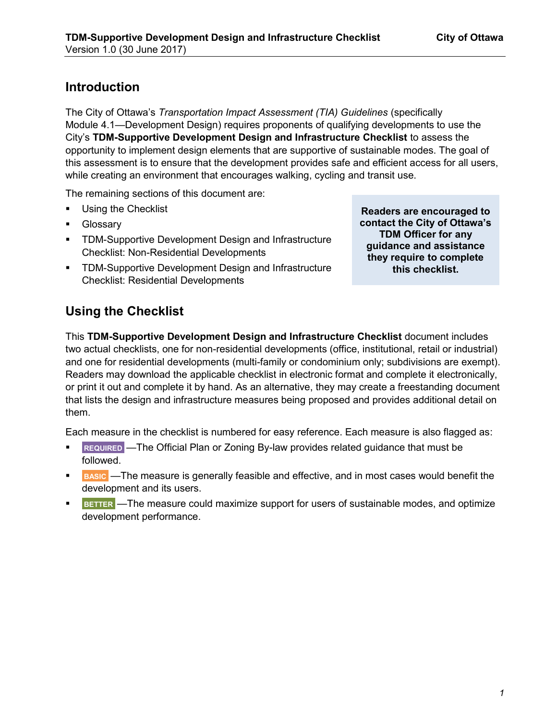## **Introduction**

The City of Ottawa's *Transportation Impact Assessment (TIA) Guidelines* (specifically Module 4.1—Development Design) requires proponents of qualifying developments to use the City's **TDM-Supportive Development Design and Infrastructure Checklist** to assess the opportunity to implement design elements that are supportive of sustainable modes. The goal of this assessment is to ensure that the development provides safe and efficient access for all users, while creating an environment that encourages walking, cycling and transit use.

The remaining sections of this document are:

- [Using the Checklist](#page-0-0)
- [Glossary](#page-1-0)
- [TDM-Supportive Development Design and Infrastructure](#page-4-0)  Checklist: Non-Residential Developments
- [TDM-Supportive Development Design and Infrastructure](#page-9-0)  Checklist: Residential Developments

**Readers are encouraged to contact the City of Ottawa's TDM Officer for any guidance and assistance they require to complete this checklist.**

# <span id="page-0-0"></span>**Using the Checklist**

This **TDM-Supportive Development Design and Infrastructure Checklist** document includes two actual checklists, one for non-residential developments (office, institutional, retail or industrial) and one for residential developments (multi-family or condominium only; subdivisions are exempt). Readers may download the applicable checklist in electronic format and complete it electronically, or print it out and complete it by hand. As an alternative, they may create a freestanding document that lists the design and infrastructure measures being proposed and provides additional detail on them.

Each measure in the checklist is numbered for easy reference. Each measure is also flagged as:

- **REQUIRED** —The Official Plan or Zoning By-law provides related guidance that must be followed.
- **BASIC** The measure is generally feasible and effective, and in most cases would benefit the development and its users.
- **BETTER** —The measure could maximize support for users of sustainable modes, and optimize development performance.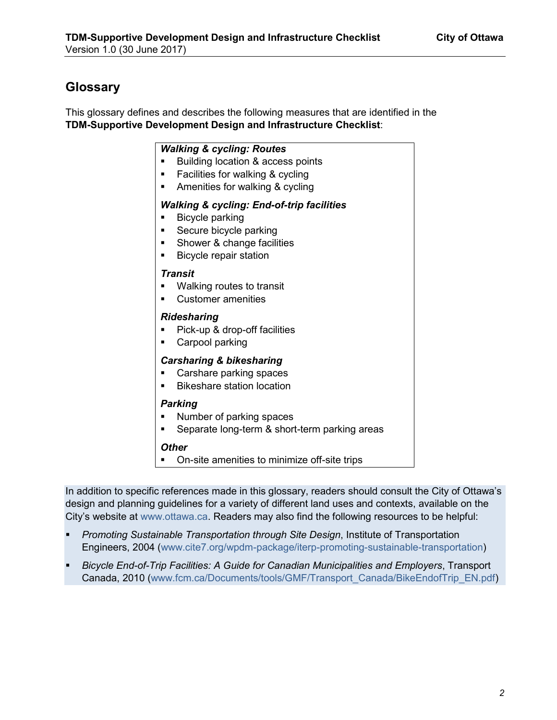# <span id="page-1-0"></span>**Glossary**

This glossary defines and describes the following measures that are identified in the **TDM-Supportive Development Design and Infrastructure Checklist**:

### *Walking & cycling: Routes*

- Building location & access points
- Facilities for walking & cycling
- Amenities for walking & cycling

#### *Walking & cycling: End-of-trip facilities*

- Bicycle parking
- Secure bicycle parking
- Shower & change facilities
- Bicycle repair station

#### *Transit*

- Walking routes to transit
- Customer amenities

## *Ridesharing*

- Pick-up & drop-off facilities
- Carpool parking

## *Carsharing & bikesharing*

- Carshare parking spaces
- Bikeshare station location

#### *Parking*

- Number of parking spaces
- Separate long-term & short-term parking areas

#### *Other*

• On-site amenities to minimize off-site trips

In addition to specific references made in this glossary, readers should consult the City of Ottawa's design and planning guidelines for a variety of different land uses and contexts, available on the City's website at [www.ottawa.ca](http://www.ottawa.ca/). Readers may also find the following resources to be helpful:

- *Promoting Sustainable Transportation through Site Design*, Institute of Transportation Engineers, 2004 ([www.cite7.org/wpdm-package/iterp-promoting-sustainable-transportation](http://www.cite7.org/wpdm-package/iterp-promoting-sustainable-transportation))
- *Bicycle End-of-Trip Facilities: A Guide for Canadian Municipalities and Employers*, Transport Canada, 2010 ([www.fcm.ca/Documents/tools/GMF/Transport\\_Canada/BikeEndofTrip\\_EN.pdf](http://www.fcm.ca/Documents/tools/GMF/Transport_Canada/BikeEndofTrip_EN.pdf))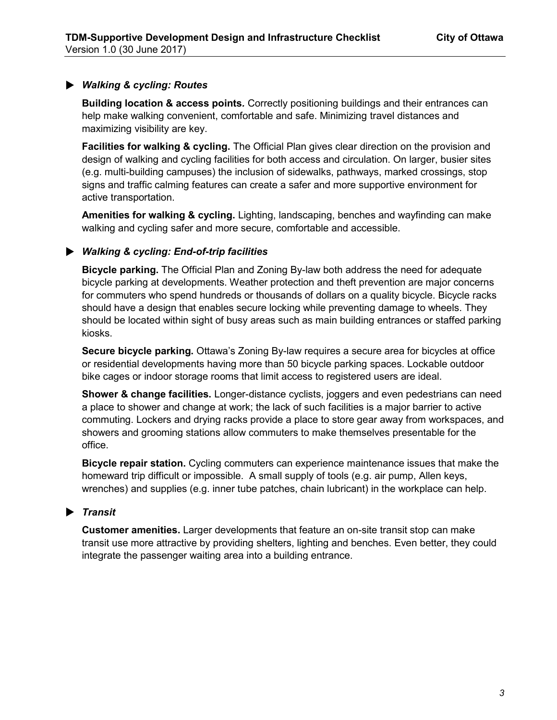## → *Walking & cycling: Routes*

**Building location & access points***.* Correctly positioning buildings and their entrances can help make walking convenient, comfortable and safe. Minimizing travel distances and maximizing visibility are key.

**Facilities for walking & cycling.** The Official Plan gives clear direction on the provision and design of walking and cycling facilities for both access and circulation. On larger, busier sites (e.g. multi-building campuses) the inclusion of sidewalks, pathways, marked crossings, stop signs and traffic calming features can create a safer and more supportive environment for active transportation.

**Amenities for walking & cycling.** Lighting, landscaping, benches and wayfinding can make walking and cycling safer and more secure, comfortable and accessible.

## → *Walking & cycling: End-of-trip facilities*

**Bicycle parking.** The Official Plan and Zoning By-law both address the need for adequate bicycle parking at developments. Weather protection and theft prevention are major concerns for commuters who spend hundreds or thousands of dollars on a quality bicycle. Bicycle racks should have a design that enables secure locking while preventing damage to wheels. They should be located within sight of busy areas such as main building entrances or staffed parking kiosks.

**Secure bicycle parking.** Ottawa's Zoning By-law requires a secure area for bicycles at office or residential developments having more than 50 bicycle parking spaces. Lockable outdoor bike cages or indoor storage rooms that limit access to registered users are ideal.

**Shower & change facilities.** Longer-distance cyclists, joggers and even pedestrians can need a place to shower and change at work; the lack of such facilities is a major barrier to active commuting. Lockers and drying racks provide a place to store gear away from workspaces, and showers and grooming stations allow commuters to make themselves presentable for the office.

**Bicycle repair station.** Cycling commuters can experience maintenance issues that make the homeward trip difficult or impossible. A small supply of tools (e.g. air pump, Allen keys, wrenches) and supplies (e.g. inner tube patches, chain lubricant) in the workplace can help.

## → *Transit*

**Customer amenities.** Larger developments that feature an on-site transit stop can make transit use more attractive by providing shelters, lighting and benches. Even better, they could integrate the passenger waiting area into a building entrance.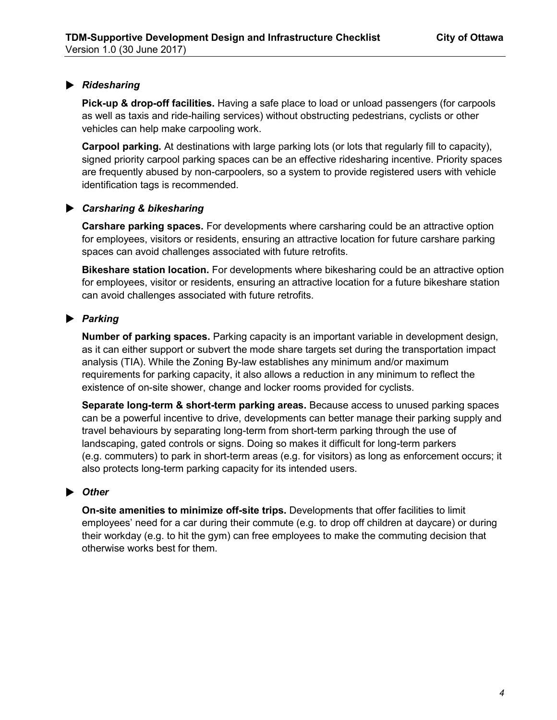## → *Ridesharing*

**Pick-up & drop-off facilities.** Having a safe place to load or unload passengers (for carpools as well as taxis and ride-hailing services) without obstructing pedestrians, cyclists or other vehicles can help make carpooling work.

**Carpool parking.** At destinations with large parking lots (or lots that regularly fill to capacity), signed priority carpool parking spaces can be an effective ridesharing incentive. Priority spaces are frequently abused by non-carpoolers, so a system to provide registered users with vehicle identification tags is recommended.

#### → *Carsharing & bikesharing*

**Carshare parking spaces.** For developments where carsharing could be an attractive option for employees, visitors or residents, ensuring an attractive location for future carshare parking spaces can avoid challenges associated with future retrofits.

**Bikeshare station location.** For developments where bikesharing could be an attractive option for employees, visitor or residents, ensuring an attractive location for a future bikeshare station can avoid challenges associated with future retrofits.

#### → *Parking*

**Number of parking spaces.** Parking capacity is an important variable in development design, as it can either support or subvert the mode share targets set during the transportation impact analysis (TIA). While the Zoning By-law establishes any minimum and/or maximum requirements for parking capacity, it also allows a reduction in any minimum to reflect the existence of on-site shower, change and locker rooms provided for cyclists.

**Separate long-term & short-term parking areas.** Because access to unused parking spaces can be a powerful incentive to drive, developments can better manage their parking supply and travel behaviours by separating long-term from short-term parking through the use of landscaping, gated controls or signs. Doing so makes it difficult for long-term parkers (e.g. commuters) to park in short-term areas (e.g. for visitors) as long as enforcement occurs; it also protects long-term parking capacity for its intended users.

## ▶ Other

**On-site amenities to minimize off-site trips.** Developments that offer facilities to limit employees' need for a car during their commute (e.g. to drop off children at daycare) or during their workday (e.g. to hit the gym) can free employees to make the commuting decision that otherwise works best for them.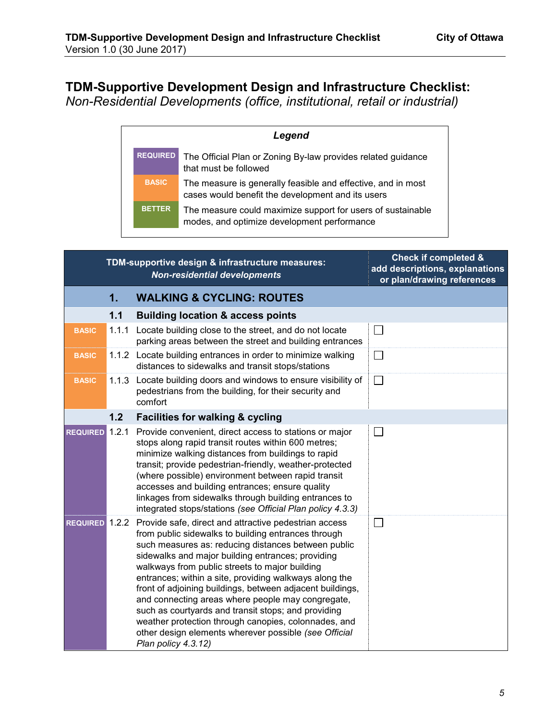# <span id="page-4-0"></span>**TDM-Supportive Development Design and Infrastructure Checklist:**

*Non-Residential Developments (office, institutional, retail or industrial)* 

| Legend          |                                                                                                                   |  |
|-----------------|-------------------------------------------------------------------------------------------------------------------|--|
| <b>REQUIRED</b> | The Official Plan or Zoning By-law provides related guidance<br>that must be followed                             |  |
| <b>BASIC</b>    | The measure is generally feasible and effective, and in most<br>cases would benefit the development and its users |  |
| <b>BETTER</b>   | The measure could maximize support for users of sustainable<br>modes, and optimize development performance        |  |

| TDM-supportive design & infrastructure measures:<br><b>Non-residential developments</b> |       |                                                                                                                                                                                                                                                                                                                                                                                                                                                                                                                                                                                                                                                       | <b>Check if completed &amp;</b><br>add descriptions, explanations<br>or plan/drawing references |
|-----------------------------------------------------------------------------------------|-------|-------------------------------------------------------------------------------------------------------------------------------------------------------------------------------------------------------------------------------------------------------------------------------------------------------------------------------------------------------------------------------------------------------------------------------------------------------------------------------------------------------------------------------------------------------------------------------------------------------------------------------------------------------|-------------------------------------------------------------------------------------------------|
|                                                                                         | 1.    | <b>WALKING &amp; CYCLING: ROUTES</b>                                                                                                                                                                                                                                                                                                                                                                                                                                                                                                                                                                                                                  |                                                                                                 |
|                                                                                         | $1.1$ | <b>Building location &amp; access points</b>                                                                                                                                                                                                                                                                                                                                                                                                                                                                                                                                                                                                          |                                                                                                 |
| <b>BASIC</b>                                                                            | 1.1.1 | Locate building close to the street, and do not locate<br>parking areas between the street and building entrances                                                                                                                                                                                                                                                                                                                                                                                                                                                                                                                                     | $\Box$                                                                                          |
| <b>BASIC</b>                                                                            |       | 1.1.2 Locate building entrances in order to minimize walking<br>distances to sidewalks and transit stops/stations                                                                                                                                                                                                                                                                                                                                                                                                                                                                                                                                     | $\Box$                                                                                          |
| <b>BASIC</b>                                                                            | 1.1.3 | Locate building doors and windows to ensure visibility of<br>pedestrians from the building, for their security and<br>comfort                                                                                                                                                                                                                                                                                                                                                                                                                                                                                                                         | $\mathbb{R}^n$                                                                                  |
|                                                                                         | 1.2   | <b>Facilities for walking &amp; cycling</b>                                                                                                                                                                                                                                                                                                                                                                                                                                                                                                                                                                                                           |                                                                                                 |
| <b>REQUIRED</b>                                                                         | 1.2.1 | Provide convenient, direct access to stations or major<br>stops along rapid transit routes within 600 metres;<br>minimize walking distances from buildings to rapid<br>transit; provide pedestrian-friendly, weather-protected<br>(where possible) environment between rapid transit<br>accesses and building entrances; ensure quality<br>linkages from sidewalks through building entrances to<br>integrated stops/stations (see Official Plan policy 4.3.3)                                                                                                                                                                                        | $\lfloor \rceil$                                                                                |
| REQUIRED 1.2.2                                                                          |       | Provide safe, direct and attractive pedestrian access<br>from public sidewalks to building entrances through<br>such measures as: reducing distances between public<br>sidewalks and major building entrances; providing<br>walkways from public streets to major building<br>entrances; within a site, providing walkways along the<br>front of adjoining buildings, between adjacent buildings,<br>and connecting areas where people may congregate,<br>such as courtyards and transit stops; and providing<br>weather protection through canopies, colonnades, and<br>other design elements wherever possible (see Official<br>Plan policy 4.3.12) | $\Box$                                                                                          |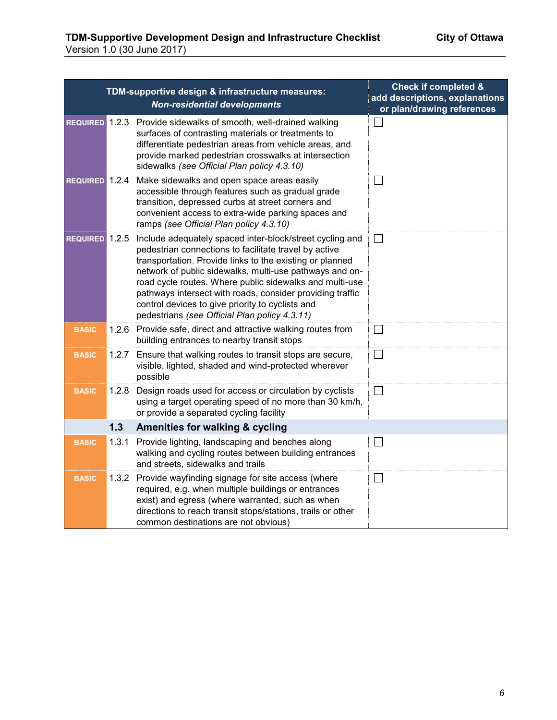|                       |       | TDM-supportive design & infrastructure measures:<br><b>Non-residential developments</b>                                                                                                                                                                                                                                                                                                                                                                               | <b>Check if completed &amp;</b><br>add descriptions, explanations<br>or plan/drawing references |
|-----------------------|-------|-----------------------------------------------------------------------------------------------------------------------------------------------------------------------------------------------------------------------------------------------------------------------------------------------------------------------------------------------------------------------------------------------------------------------------------------------------------------------|-------------------------------------------------------------------------------------------------|
|                       |       | REQUIRED 1.2.3 Provide sidewalks of smooth, well-drained walking<br>surfaces of contrasting materials or treatments to<br>differentiate pedestrian areas from vehicle areas, and<br>provide marked pedestrian crosswalks at intersection<br>sidewalks (see Official Plan policy 4.3.10)                                                                                                                                                                               |                                                                                                 |
| <b>REQUIRED</b> 1.2.4 |       | Make sidewalks and open space areas easily<br>accessible through features such as gradual grade<br>transition, depressed curbs at street corners and<br>convenient access to extra-wide parking spaces and<br>ramps (see Official Plan policy 4.3.10)                                                                                                                                                                                                                 | $\Box$                                                                                          |
| <b>REQUIRED</b> 1.2.5 |       | Include adequately spaced inter-block/street cycling and<br>pedestrian connections to facilitate travel by active<br>transportation. Provide links to the existing or planned<br>network of public sidewalks, multi-use pathways and on-<br>road cycle routes. Where public sidewalks and multi-use<br>pathways intersect with roads, consider providing traffic<br>control devices to give priority to cyclists and<br>pedestrians (see Official Plan policy 4.3.11) | $\perp$                                                                                         |
| <b>BASIC</b>          |       | 1.2.6 Provide safe, direct and attractive walking routes from<br>building entrances to nearby transit stops                                                                                                                                                                                                                                                                                                                                                           | $\Box$                                                                                          |
| <b>BASIC</b>          | 1.2.7 | Ensure that walking routes to transit stops are secure,<br>visible, lighted, shaded and wind-protected wherever<br>possible                                                                                                                                                                                                                                                                                                                                           | $\Box$                                                                                          |
| <b>BASIC</b>          | 1.2.8 | Design roads used for access or circulation by cyclists<br>using a target operating speed of no more than 30 km/h,<br>or provide a separated cycling facility                                                                                                                                                                                                                                                                                                         | $\Box$                                                                                          |
|                       | 1.3   | Amenities for walking & cycling                                                                                                                                                                                                                                                                                                                                                                                                                                       |                                                                                                 |
| <b>BASIC</b>          | 1.3.1 | Provide lighting, landscaping and benches along<br>walking and cycling routes between building entrances<br>and streets, sidewalks and trails                                                                                                                                                                                                                                                                                                                         | $\Box$                                                                                          |
| <b>BASIC</b>          | 1.3.2 | Provide wayfinding signage for site access (where<br>required, e.g. when multiple buildings or entrances<br>exist) and egress (where warranted, such as when<br>directions to reach transit stops/stations, trails or other<br>common destinations are not obvious)                                                                                                                                                                                                   | $\Box$                                                                                          |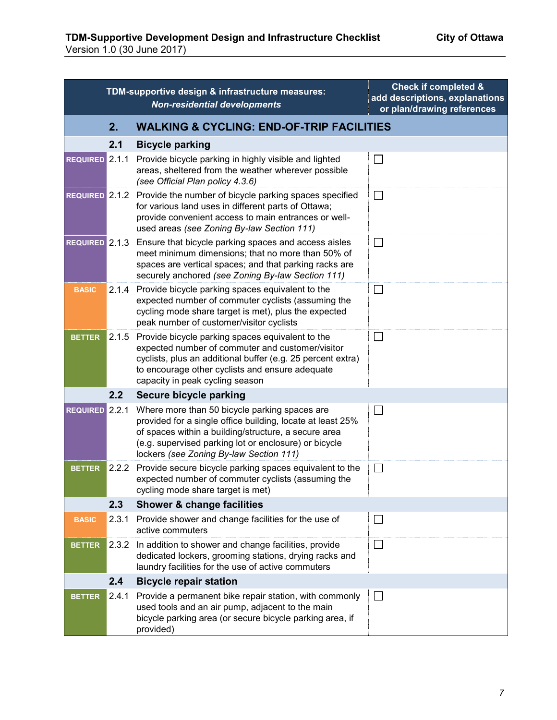|                |       | TDM-supportive design & infrastructure measures:<br><b>Non-residential developments</b>                                                                                                                                                                                 | <b>Check if completed &amp;</b><br>add descriptions, explanations<br>or plan/drawing references |
|----------------|-------|-------------------------------------------------------------------------------------------------------------------------------------------------------------------------------------------------------------------------------------------------------------------------|-------------------------------------------------------------------------------------------------|
|                | 2.    | <b>WALKING &amp; CYCLING: END-OF-TRIP FACILITIES</b>                                                                                                                                                                                                                    |                                                                                                 |
|                | 2.1   | <b>Bicycle parking</b>                                                                                                                                                                                                                                                  |                                                                                                 |
| REQUIRED 2.1.1 |       | Provide bicycle parking in highly visible and lighted<br>areas, sheltered from the weather wherever possible<br>(see Official Plan policy 4.3.6)                                                                                                                        | L                                                                                               |
|                |       | REQUIRED 2.1.2 Provide the number of bicycle parking spaces specified<br>for various land uses in different parts of Ottawa;<br>provide convenient access to main entrances or well-<br>used areas (see Zoning By-law Section 111)                                      | L                                                                                               |
| REQUIRED 2.1.3 |       | Ensure that bicycle parking spaces and access aisles<br>meet minimum dimensions; that no more than 50% of<br>spaces are vertical spaces; and that parking racks are<br>securely anchored (see Zoning By-law Section 111)                                                | $\mathbf{L}$                                                                                    |
| <b>BASIC</b>   | 2.1.4 | Provide bicycle parking spaces equivalent to the<br>expected number of commuter cyclists (assuming the<br>cycling mode share target is met), plus the expected<br>peak number of customer/visitor cyclists                                                              | $\Box$                                                                                          |
| <b>BETTER</b>  |       | 2.1.5 Provide bicycle parking spaces equivalent to the<br>expected number of commuter and customer/visitor<br>cyclists, plus an additional buffer (e.g. 25 percent extra)<br>to encourage other cyclists and ensure adequate<br>capacity in peak cycling season         | $\Box$                                                                                          |
|                | 2.2   | Secure bicycle parking                                                                                                                                                                                                                                                  |                                                                                                 |
| REQUIRED 2.2.1 |       | Where more than 50 bicycle parking spaces are<br>provided for a single office building, locate at least 25%<br>of spaces within a building/structure, a secure area<br>(e.g. supervised parking lot or enclosure) or bicycle<br>lockers (see Zoning By-law Section 111) |                                                                                                 |
| <b>BETTER</b>  |       | 2.2.2 Provide secure bicycle parking spaces equivalent to the<br>expected number of commuter cyclists (assuming the<br>cycling mode share target is met)                                                                                                                | $\Box$                                                                                          |
|                | 2.3   | <b>Shower &amp; change facilities</b>                                                                                                                                                                                                                                   |                                                                                                 |
| <b>BASIC</b>   | 2.3.1 | Provide shower and change facilities for the use of<br>active commuters                                                                                                                                                                                                 |                                                                                                 |
| <b>BETTER</b>  | 2.3.2 | In addition to shower and change facilities, provide<br>dedicated lockers, grooming stations, drying racks and<br>laundry facilities for the use of active commuters                                                                                                    |                                                                                                 |
|                | 2.4   | <b>Bicycle repair station</b>                                                                                                                                                                                                                                           |                                                                                                 |
| <b>BETTER</b>  | 2.4.1 | Provide a permanent bike repair station, with commonly<br>used tools and an air pump, adjacent to the main<br>bicycle parking area (or secure bicycle parking area, if<br>provided)                                                                                     | $\Box$                                                                                          |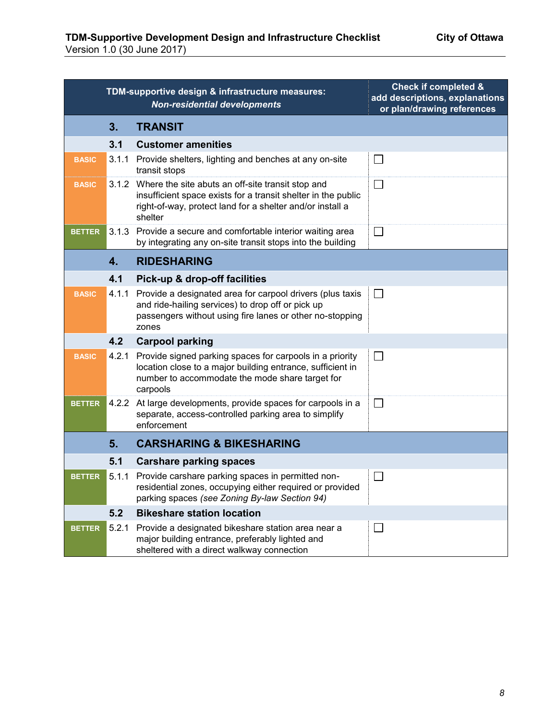|               |       | TDM-supportive design & infrastructure measures:<br><b>Non-residential developments</b>                                                                                                          | <b>Check if completed &amp;</b><br>add descriptions, explanations<br>or plan/drawing references |
|---------------|-------|--------------------------------------------------------------------------------------------------------------------------------------------------------------------------------------------------|-------------------------------------------------------------------------------------------------|
|               | 3.    | <b>TRANSIT</b>                                                                                                                                                                                   |                                                                                                 |
|               | 3.1   | <b>Customer amenities</b>                                                                                                                                                                        |                                                                                                 |
| <b>BASIC</b>  | 3.1.1 | Provide shelters, lighting and benches at any on-site<br>transit stops                                                                                                                           | $\Box$                                                                                          |
| <b>BASIC</b>  |       | 3.1.2 Where the site abuts an off-site transit stop and<br>insufficient space exists for a transit shelter in the public<br>right-of-way, protect land for a shelter and/or install a<br>shelter | $\Box$                                                                                          |
| <b>BETTER</b> |       | 3.1.3 Provide a secure and comfortable interior waiting area<br>by integrating any on-site transit stops into the building                                                                       | $\Box$                                                                                          |
|               | 4.    | <b>RIDESHARING</b>                                                                                                                                                                               |                                                                                                 |
|               | 4.1   | Pick-up & drop-off facilities                                                                                                                                                                    |                                                                                                 |
| <b>BASIC</b>  | 4.1.1 | Provide a designated area for carpool drivers (plus taxis<br>and ride-hailing services) to drop off or pick up<br>passengers without using fire lanes or other no-stopping<br>zones              | $\Box$                                                                                          |
|               | 4.2   | <b>Carpool parking</b>                                                                                                                                                                           |                                                                                                 |
| <b>BASIC</b>  | 4.2.1 | Provide signed parking spaces for carpools in a priority<br>location close to a major building entrance, sufficient in<br>number to accommodate the mode share target for<br>carpools            | $\mathcal{L}$                                                                                   |
| <b>BETTER</b> | 4.2.2 | At large developments, provide spaces for carpools in a<br>separate, access-controlled parking area to simplify<br>enforcement                                                                   | $\Box$                                                                                          |
|               | 5.    | <b>CARSHARING &amp; BIKESHARING</b>                                                                                                                                                              |                                                                                                 |
|               | 5.1   | <b>Carshare parking spaces</b>                                                                                                                                                                   |                                                                                                 |
| <b>BETTER</b> | 5.1.1 | Provide carshare parking spaces in permitted non-<br>residential zones, occupying either required or provided<br>parking spaces (see Zoning By-law Section 94)                                   |                                                                                                 |
|               | 5.2   | <b>Bikeshare station location</b>                                                                                                                                                                |                                                                                                 |
| <b>BETTER</b> | 5.2.1 | Provide a designated bikeshare station area near a<br>major building entrance, preferably lighted and<br>sheltered with a direct walkway connection                                              | ⊔                                                                                               |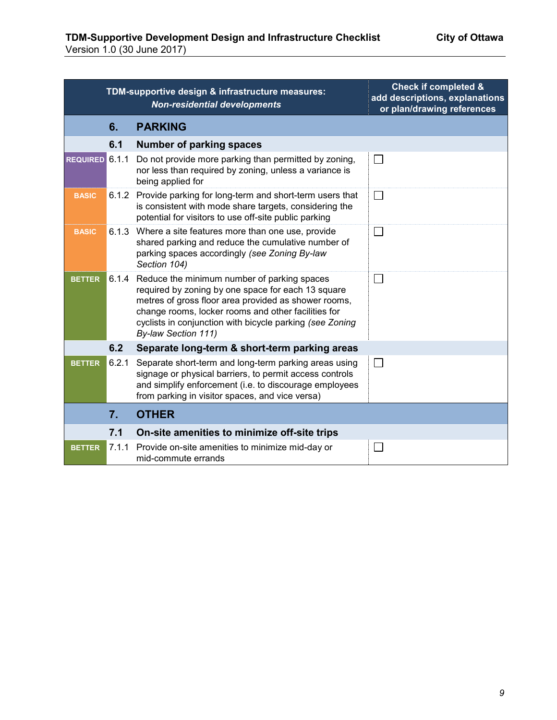| TDM-supportive design & infrastructure measures:<br><b>Non-residential developments</b> |       |                                                                                                                                                                                                                                                                                                     | <b>Check if completed &amp;</b><br>add descriptions, explanations<br>or plan/drawing references |
|-----------------------------------------------------------------------------------------|-------|-----------------------------------------------------------------------------------------------------------------------------------------------------------------------------------------------------------------------------------------------------------------------------------------------------|-------------------------------------------------------------------------------------------------|
|                                                                                         | 6.    | <b>PARKING</b>                                                                                                                                                                                                                                                                                      |                                                                                                 |
|                                                                                         | 6.1   | <b>Number of parking spaces</b>                                                                                                                                                                                                                                                                     |                                                                                                 |
| REQUIRED 6.1.1                                                                          |       | Do not provide more parking than permitted by zoning,<br>nor less than required by zoning, unless a variance is<br>being applied for                                                                                                                                                                | $\Box$                                                                                          |
| <b>BASIC</b>                                                                            |       | 6.1.2 Provide parking for long-term and short-term users that<br>is consistent with mode share targets, considering the<br>potential for visitors to use off-site public parking                                                                                                                    | $\Box$                                                                                          |
| <b>BASIC</b>                                                                            | 6.1.3 | Where a site features more than one use, provide<br>shared parking and reduce the cumulative number of<br>parking spaces accordingly (see Zoning By-law<br>Section 104)                                                                                                                             | $\Box$                                                                                          |
| <b>BETTER</b>                                                                           | 6.1.4 | Reduce the minimum number of parking spaces<br>required by zoning by one space for each 13 square<br>metres of gross floor area provided as shower rooms,<br>change rooms, locker rooms and other facilities for<br>cyclists in conjunction with bicycle parking (see Zoning<br>By-law Section 111) | $\Box$                                                                                          |
|                                                                                         | 6.2   | Separate long-term & short-term parking areas                                                                                                                                                                                                                                                       |                                                                                                 |
| <b>BETTER</b>                                                                           | 6.2.1 | Separate short-term and long-term parking areas using<br>signage or physical barriers, to permit access controls<br>and simplify enforcement (i.e. to discourage employees<br>from parking in visitor spaces, and vice versa)                                                                       | $\perp$                                                                                         |
|                                                                                         | 7.    | <b>OTHER</b>                                                                                                                                                                                                                                                                                        |                                                                                                 |
|                                                                                         | 7.1   | On-site amenities to minimize off-site trips                                                                                                                                                                                                                                                        |                                                                                                 |
| <b>BETTER</b>                                                                           | 7.1.1 | Provide on-site amenities to minimize mid-day or<br>mid-commute errands                                                                                                                                                                                                                             | $\overline{\phantom{a}}$                                                                        |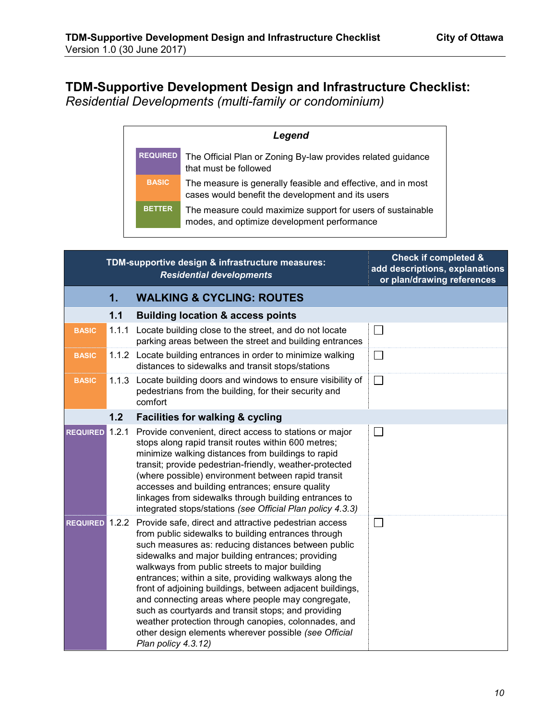## <span id="page-9-0"></span>**TDM-Supportive Development Design and Infrastructure Checklist:**  *Residential Developments (multi-family or condominium)*

| Legend          |                                                                                                                   |  |  |
|-----------------|-------------------------------------------------------------------------------------------------------------------|--|--|
| <b>REQUIRED</b> | The Official Plan or Zoning By-law provides related guidance<br>that must be followed                             |  |  |
| <b>BASIC</b>    | The measure is generally feasible and effective, and in most<br>cases would benefit the development and its users |  |  |
| <b>BETTER</b>   | The measure could maximize support for users of sustainable<br>modes, and optimize development performance        |  |  |

| TDM-supportive design & infrastructure measures:<br><b>Residential developments</b> |       |                                                                                                                                                                                                                                                                                                                                                                                                                                                                                                                                                                                                                                                       | <b>Check if completed &amp;</b><br>add descriptions, explanations<br>or plan/drawing references |
|-------------------------------------------------------------------------------------|-------|-------------------------------------------------------------------------------------------------------------------------------------------------------------------------------------------------------------------------------------------------------------------------------------------------------------------------------------------------------------------------------------------------------------------------------------------------------------------------------------------------------------------------------------------------------------------------------------------------------------------------------------------------------|-------------------------------------------------------------------------------------------------|
|                                                                                     | 1.    | <b>WALKING &amp; CYCLING: ROUTES</b>                                                                                                                                                                                                                                                                                                                                                                                                                                                                                                                                                                                                                  |                                                                                                 |
|                                                                                     | 1.1   | <b>Building location &amp; access points</b>                                                                                                                                                                                                                                                                                                                                                                                                                                                                                                                                                                                                          |                                                                                                 |
| <b>BASIC</b>                                                                        | 1.1.1 | Locate building close to the street, and do not locate<br>parking areas between the street and building entrances                                                                                                                                                                                                                                                                                                                                                                                                                                                                                                                                     | $\Box$                                                                                          |
| <b>BASIC</b>                                                                        |       | 1.1.2 Locate building entrances in order to minimize walking<br>distances to sidewalks and transit stops/stations                                                                                                                                                                                                                                                                                                                                                                                                                                                                                                                                     | $\Box$                                                                                          |
| <b>BASIC</b>                                                                        | 1.1.3 | Locate building doors and windows to ensure visibility of<br>pedestrians from the building, for their security and<br>comfort                                                                                                                                                                                                                                                                                                                                                                                                                                                                                                                         | $\Box$                                                                                          |
|                                                                                     | 1.2   | <b>Facilities for walking &amp; cycling</b>                                                                                                                                                                                                                                                                                                                                                                                                                                                                                                                                                                                                           |                                                                                                 |
| <b>REQUIRED</b>                                                                     | 1.2.1 | Provide convenient, direct access to stations or major<br>stops along rapid transit routes within 600 metres;<br>minimize walking distances from buildings to rapid<br>transit; provide pedestrian-friendly, weather-protected<br>(where possible) environment between rapid transit<br>accesses and building entrances; ensure quality<br>linkages from sidewalks through building entrances to<br>integrated stops/stations (see Official Plan policy 4.3.3)                                                                                                                                                                                        | $\Box$                                                                                          |
| REQUIRED 1.2.2                                                                      |       | Provide safe, direct and attractive pedestrian access<br>from public sidewalks to building entrances through<br>such measures as: reducing distances between public<br>sidewalks and major building entrances; providing<br>walkways from public streets to major building<br>entrances; within a site, providing walkways along the<br>front of adjoining buildings, between adjacent buildings,<br>and connecting areas where people may congregate,<br>such as courtyards and transit stops; and providing<br>weather protection through canopies, colonnades, and<br>other design elements wherever possible (see Official<br>Plan policy 4.3.12) | $\Box$                                                                                          |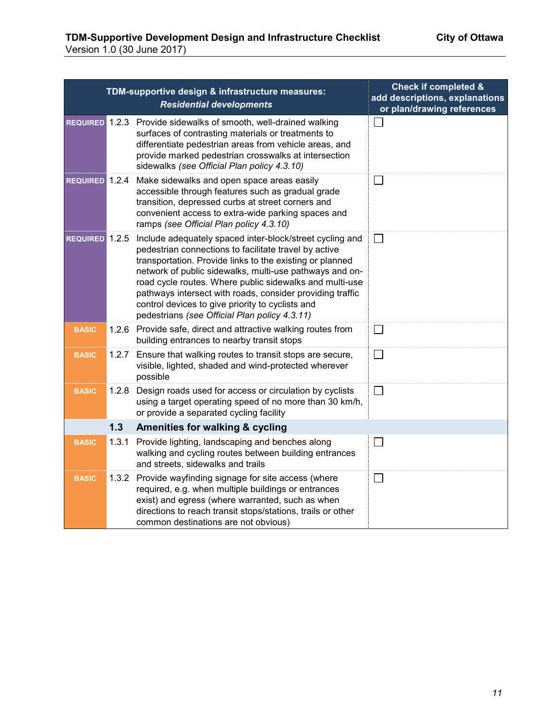|                       |       | TDM-supportive design & infrastructure measures:<br><b>Residential developments</b>                                                                                                                                                                                                                                                                                                                                                                                   | <b>Check if completed &amp;</b><br>add descriptions, explanations<br>or plan/drawing references |
|-----------------------|-------|-----------------------------------------------------------------------------------------------------------------------------------------------------------------------------------------------------------------------------------------------------------------------------------------------------------------------------------------------------------------------------------------------------------------------------------------------------------------------|-------------------------------------------------------------------------------------------------|
|                       |       | REQUIRED 1.2.3 Provide sidewalks of smooth, well-drained walking<br>surfaces of contrasting materials or treatments to<br>differentiate pedestrian areas from vehicle areas, and<br>provide marked pedestrian crosswalks at intersection<br>sidewalks (see Official Plan policy 4.3.10)                                                                                                                                                                               |                                                                                                 |
| REQUIRED 1.2.4        |       | Make sidewalks and open space areas easily<br>accessible through features such as gradual grade<br>transition, depressed curbs at street corners and<br>convenient access to extra-wide parking spaces and<br>ramps (see Official Plan policy 4.3.10)                                                                                                                                                                                                                 | $\mathbf{L}$                                                                                    |
| <b>REQUIRED</b> 1.2.5 |       | Include adequately spaced inter-block/street cycling and<br>pedestrian connections to facilitate travel by active<br>transportation. Provide links to the existing or planned<br>network of public sidewalks, multi-use pathways and on-<br>road cycle routes. Where public sidewalks and multi-use<br>pathways intersect with roads, consider providing traffic<br>control devices to give priority to cyclists and<br>pedestrians (see Official Plan policy 4.3.11) | $\mathsf{L}$                                                                                    |
| <b>BASIC</b>          |       | 1.2.6 Provide safe, direct and attractive walking routes from<br>building entrances to nearby transit stops                                                                                                                                                                                                                                                                                                                                                           |                                                                                                 |
| <b>BASIC</b>          |       | 1.2.7 Ensure that walking routes to transit stops are secure,<br>visible, lighted, shaded and wind-protected wherever<br>possible                                                                                                                                                                                                                                                                                                                                     | $\Box$                                                                                          |
| <b>BASIC</b>          | 1.2.8 | Design roads used for access or circulation by cyclists<br>using a target operating speed of no more than 30 km/h,<br>or provide a separated cycling facility                                                                                                                                                                                                                                                                                                         |                                                                                                 |
|                       | 1.3   | Amenities for walking & cycling                                                                                                                                                                                                                                                                                                                                                                                                                                       |                                                                                                 |
| <b>BASIC</b>          | 1.3.1 | Provide lighting, landscaping and benches along<br>walking and cycling routes between building entrances<br>and streets, sidewalks and trails                                                                                                                                                                                                                                                                                                                         | П                                                                                               |
| <b>BASIC</b>          | 1.3.2 | Provide wayfinding signage for site access (where<br>required, e.g. when multiple buildings or entrances<br>exist) and egress (where warranted, such as when<br>directions to reach transit stops/stations, trails or other<br>common destinations are not obvious)                                                                                                                                                                                                   | $\mathbf{L}$                                                                                    |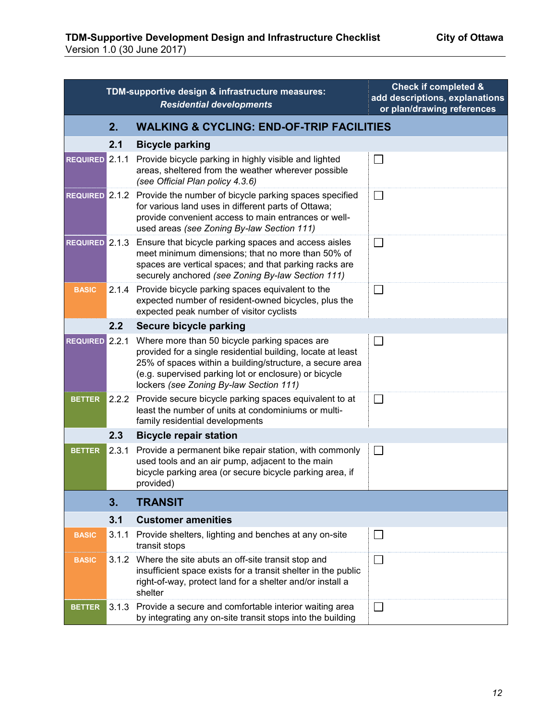|                       |       | TDM-supportive design & infrastructure measures:<br><b>Residential developments</b>                                                                                                                                                                                          | <b>Check if completed &amp;</b><br>add descriptions, explanations<br>or plan/drawing references |
|-----------------------|-------|------------------------------------------------------------------------------------------------------------------------------------------------------------------------------------------------------------------------------------------------------------------------------|-------------------------------------------------------------------------------------------------|
|                       | 2.    | <b>WALKING &amp; CYCLING: END-OF-TRIP FACILITIES</b>                                                                                                                                                                                                                         |                                                                                                 |
|                       | 2.1   | <b>Bicycle parking</b>                                                                                                                                                                                                                                                       |                                                                                                 |
| REQUIRED 2.1.1        |       | Provide bicycle parking in highly visible and lighted<br>areas, sheltered from the weather wherever possible<br>(see Official Plan policy 4.3.6)                                                                                                                             | Г                                                                                               |
|                       |       | REQUIRED 2.1.2 Provide the number of bicycle parking spaces specified<br>for various land uses in different parts of Ottawa;<br>provide convenient access to main entrances or well-<br>used areas (see Zoning By-law Section 111)                                           | $\Box$                                                                                          |
| <b>REQUIRED</b> 2.1.3 |       | Ensure that bicycle parking spaces and access aisles<br>meet minimum dimensions; that no more than 50% of<br>spaces are vertical spaces; and that parking racks are<br>securely anchored (see Zoning By-law Section 111)                                                     | $\Box$                                                                                          |
| <b>BASIC</b>          | 2.1.4 | Provide bicycle parking spaces equivalent to the<br>expected number of resident-owned bicycles, plus the<br>expected peak number of visitor cyclists                                                                                                                         | $\Box$                                                                                          |
|                       | 2.2   | Secure bicycle parking                                                                                                                                                                                                                                                       |                                                                                                 |
| REQUIRED 2.2.1        |       | Where more than 50 bicycle parking spaces are<br>provided for a single residential building, locate at least<br>25% of spaces within a building/structure, a secure area<br>(e.g. supervised parking lot or enclosure) or bicycle<br>lockers (see Zoning By-law Section 111) |                                                                                                 |
| <b>BETTER</b>         | 2.2.2 | Provide secure bicycle parking spaces equivalent to at<br>least the number of units at condominiums or multi-<br>family residential developments                                                                                                                             | $\Box$                                                                                          |
|                       | 2.3   | <b>Bicycle repair station</b>                                                                                                                                                                                                                                                |                                                                                                 |
| <b>BETTER</b>         | 2.3.1 | Provide a permanent bike repair station, with commonly<br>used tools and an air pump, adjacent to the main<br>bicycle parking area (or secure bicycle parking area, if<br>provided)                                                                                          | $\Box$                                                                                          |
|                       | 3.    | <b>TRANSIT</b>                                                                                                                                                                                                                                                               |                                                                                                 |
|                       | 3.1   | <b>Customer amenities</b>                                                                                                                                                                                                                                                    |                                                                                                 |
| <b>BASIC</b>          | 3.1.1 | Provide shelters, lighting and benches at any on-site<br>transit stops                                                                                                                                                                                                       |                                                                                                 |
| <b>BASIC</b>          | 3.1.2 | Where the site abuts an off-site transit stop and<br>insufficient space exists for a transit shelter in the public<br>right-of-way, protect land for a shelter and/or install a<br>shelter                                                                                   | $\Box$                                                                                          |
| <b>BETTER</b>         | 3.1.3 | Provide a secure and comfortable interior waiting area<br>by integrating any on-site transit stops into the building                                                                                                                                                         | $\Box$                                                                                          |